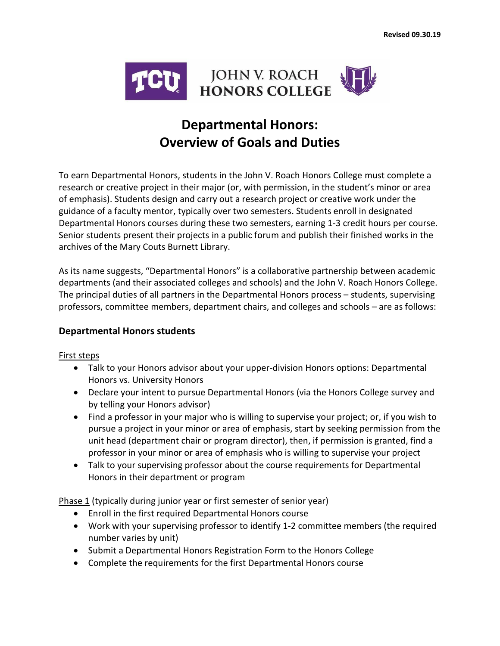

# **Departmental Honors: Overview of Goals and Duties**

To earn Departmental Honors, students in the John V. Roach Honors College must complete a research or creative project in their major (or, with permission, in the student's minor or area of emphasis). Students design and carry out a research project or creative work under the guidance of a faculty mentor, typically over two semesters. Students enroll in designated Departmental Honors courses during these two semesters, earning 1-3 credit hours per course. Senior students present their projects in a public forum and publish their finished works in the archives of the Mary Couts Burnett Library.

As its name suggests, "Departmental Honors" is a collaborative partnership between academic departments (and their associated colleges and schools) and the John V. Roach Honors College. The principal duties of all partners in the Departmental Honors process – students, supervising professors, committee members, department chairs, and colleges and schools – are as follows:

#### **Departmental Honors students**

#### First steps

- Talk to your Honors advisor about your upper-division Honors options: Departmental Honors vs. University Honors
- Declare your intent to pursue Departmental Honors (via the Honors College survey and by telling your Honors advisor)
- Find a professor in your major who is willing to supervise your project; or, if you wish to pursue a project in your minor or area of emphasis, start by seeking permission from the unit head (department chair or program director), then, if permission is granted, find a professor in your minor or area of emphasis who is willing to supervise your project
- Talk to your supervising professor about the course requirements for Departmental Honors in their department or program

Phase 1 (typically during junior year or first semester of senior year)

- Enroll in the first required Departmental Honors course
- Work with your supervising professor to identify 1-2 committee members (the required number varies by unit)
- Submit a Departmental Honors Registration Form to the Honors College
- Complete the requirements for the first Departmental Honors course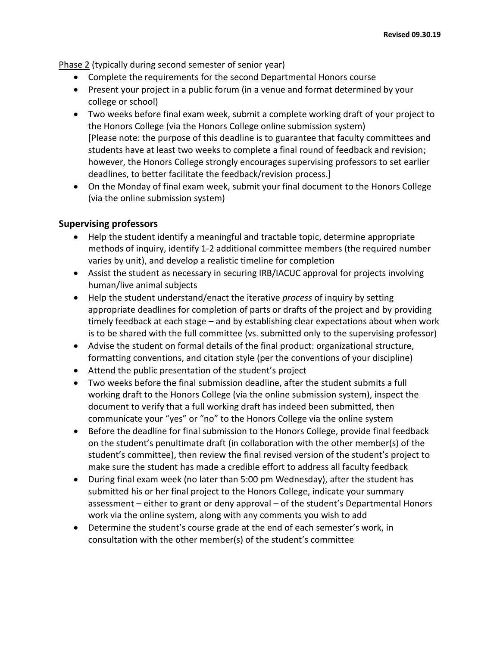Phase 2 (typically during second semester of senior year)

- Complete the requirements for the second Departmental Honors course
- Present your project in a public forum (in a venue and format determined by your college or school)
- Two weeks before final exam week, submit a complete working draft of your project to the Honors College (via the Honors College online submission system) [Please note: the purpose of this deadline is to guarantee that faculty committees and students have at least two weeks to complete a final round of feedback and revision; however, the Honors College strongly encourages supervising professors to set earlier deadlines, to better facilitate the feedback/revision process.]
- On the Monday of final exam week, submit your final document to the Honors College (via the online submission system)

## **Supervising professors**

- Help the student identify a meaningful and tractable topic, determine appropriate methods of inquiry, identify 1-2 additional committee members (the required number varies by unit), and develop a realistic timeline for completion
- Assist the student as necessary in securing IRB/IACUC approval for projects involving human/live animal subjects
- Help the student understand/enact the iterative *process* of inquiry by setting appropriate deadlines for completion of parts or drafts of the project and by providing timely feedback at each stage – and by establishing clear expectations about when work is to be shared with the full committee (vs. submitted only to the supervising professor)
- Advise the student on formal details of the final product: organizational structure, formatting conventions, and citation style (per the conventions of your discipline)
- Attend the public presentation of the student's project
- Two weeks before the final submission deadline, after the student submits a full working draft to the Honors College (via the online submission system), inspect the document to verify that a full working draft has indeed been submitted, then communicate your "yes" or "no" to the Honors College via the online system
- Before the deadline for final submission to the Honors College, provide final feedback on the student's penultimate draft (in collaboration with the other member(s) of the student's committee), then review the final revised version of the student's project to make sure the student has made a credible effort to address all faculty feedback
- During final exam week (no later than 5:00 pm Wednesday), after the student has submitted his or her final project to the Honors College, indicate your summary assessment – either to grant or deny approval – of the student's Departmental Honors work via the online system, along with any comments you wish to add
- Determine the student's course grade at the end of each semester's work, in consultation with the other member(s) of the student's committee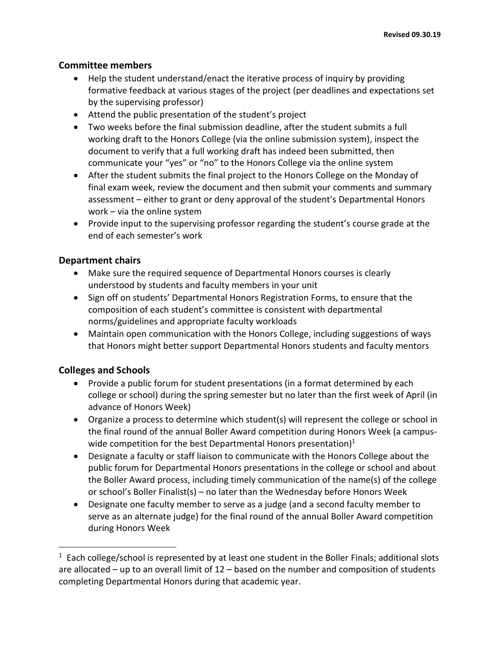## **Committee members**

- Help the student understand/enact the iterative process of inquiry by providing formative feedback at various stages of the project (per deadlines and expectations set by the supervising professor)
- Attend the public presentation of the student's project
- Two weeks before the final submission deadline, after the student submits a full working draft to the Honors College (via the online submission system), inspect the document to verify that a full working draft has indeed been submitted, then communicate your "yes" or "no" to the Honors College via the online system
- After the student submits the final project to the Honors College on the Monday of final exam week, review the document and then submit your comments and summary assessment – either to grant or deny approval of the student's Departmental Honors work – via the online system
- Provide input to the supervising professor regarding the student's course grade at the end of each semester's work

## **Department chairs**

- Make sure the required sequence of Departmental Honors courses is clearly understood by students and faculty members in your unit
- Sign off on students' Departmental Honors Registration Forms, to ensure that the composition of each student's committee is consistent with departmental norms/guidelines and appropriate faculty workloads
- Maintain open communication with the Honors College, including suggestions of ways that Honors might better support Departmental Honors students and faculty mentors

## **Colleges and Schools**

 $\overline{\phantom{a}}$ 

- Provide a public forum for student presentations (in a format determined by each college or school) during the spring semester but no later than the first week of April (in advance of Honors Week)
- Organize a process to determine which student(s) will represent the college or school in the final round of the annual Boller Award competition during Honors Week (a campuswide competition for the best Departmental Honors presentation) $1$
- Designate a faculty or staff liaison to communicate with the Honors College about the public forum for Departmental Honors presentations in the college or school and about the Boller Award process, including timely communication of the name(s) of the college or school's Boller Finalist(s) – no later than the Wednesday before Honors Week
- Designate one faculty member to serve as a judge (and a second faculty member to serve as an alternate judge) for the final round of the annual Boller Award competition during Honors Week

 $1$  Each college/school is represented by at least one student in the Boller Finals; additional slots are allocated – up to an overall limit of 12 – based on the number and composition of students completing Departmental Honors during that academic year.